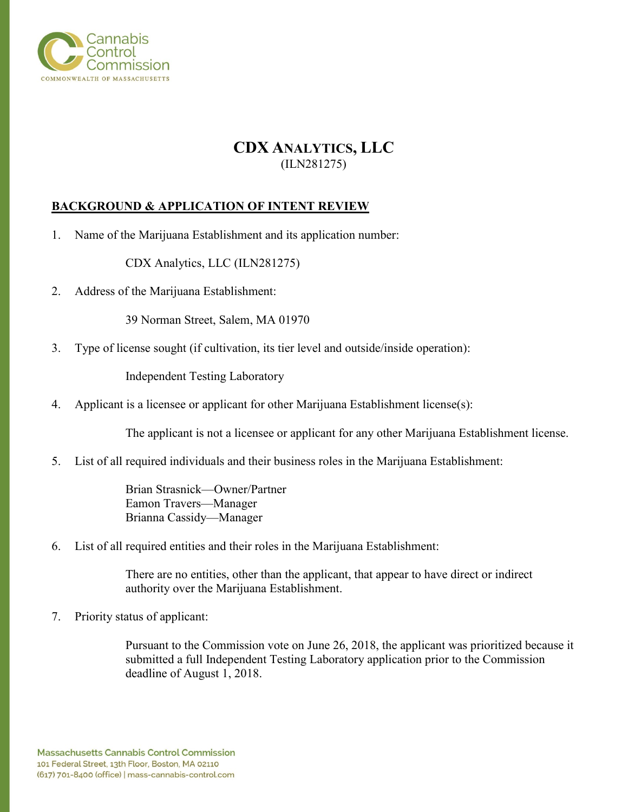

# **CDX ANALYTICS, LLC** (ILN281275)

## **BACKGROUND & APPLICATION OF INTENT REVIEW**

1. Name of the Marijuana Establishment and its application number:

CDX Analytics, LLC (ILN281275)

2. Address of the Marijuana Establishment:

39 Norman Street, Salem, MA 01970

3. Type of license sought (if cultivation, its tier level and outside/inside operation):

Independent Testing Laboratory

4. Applicant is a licensee or applicant for other Marijuana Establishment license(s):

The applicant is not a licensee or applicant for any other Marijuana Establishment license.

5. List of all required individuals and their business roles in the Marijuana Establishment:

Brian Strasnick—Owner/Partner Eamon Travers—Manager Brianna Cassidy—Manager

6. List of all required entities and their roles in the Marijuana Establishment:

There are no entities, other than the applicant, that appear to have direct or indirect authority over the Marijuana Establishment.

7. Priority status of applicant:

Pursuant to the Commission vote on June 26, 2018, the applicant was prioritized because it submitted a full Independent Testing Laboratory application prior to the Commission deadline of August 1, 2018.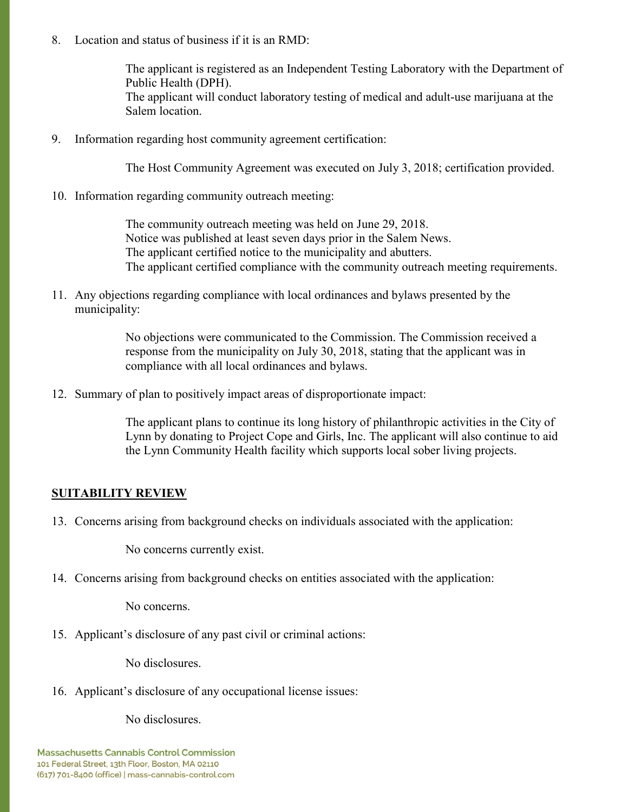8. Location and status of business if it is an RMD:

The applicant is registered as an Independent Testing Laboratory with the Department of Public Health (DPH). The applicant will conduct laboratory testing of medical and adult-use marijuana at the Salem location.

9. Information regarding host community agreement certification:

The Host Community Agreement was executed on July 3, 2018; certification provided.

10. Information regarding community outreach meeting:

The community outreach meeting was held on June 29, 2018. Notice was published at least seven days prior in the Salem News. The applicant certified notice to the municipality and abutters. The applicant certified compliance with the community outreach meeting requirements.

11. Any objections regarding compliance with local ordinances and bylaws presented by the municipality:

> No objections were communicated to the Commission. The Commission received a response from the municipality on July 30, 2018, stating that the applicant was in compliance with all local ordinances and bylaws.

12. Summary of plan to positively impact areas of disproportionate impact:

The applicant plans to continue its long history of philanthropic activities in the City of Lynn by donating to Project Cope and Girls, Inc. The applicant will also continue to aid the Lynn Community Health facility which supports local sober living projects.

# **SUITABILITY REVIEW**

13. Concerns arising from background checks on individuals associated with the application:

No concerns currently exist.

14. Concerns arising from background checks on entities associated with the application:

No concerns.

15. Applicant's disclosure of any past civil or criminal actions:

No disclosures.

16. Applicant's disclosure of any occupational license issues:

No disclosures.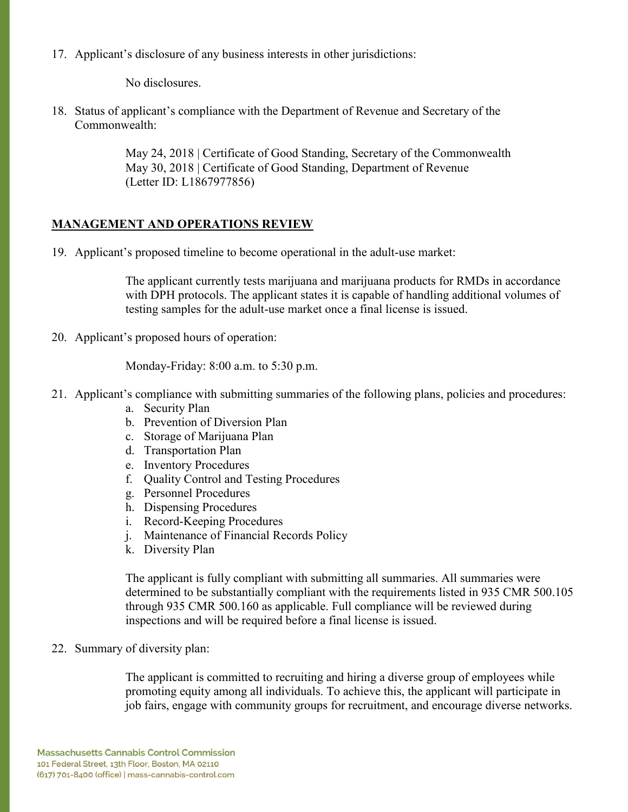17. Applicant's disclosure of any business interests in other jurisdictions:

No disclosures.

18. Status of applicant's compliance with the Department of Revenue and Secretary of the Commonwealth:

> May 24, 2018 | Certificate of Good Standing, Secretary of the Commonwealth May 30, 2018 | Certificate of Good Standing, Department of Revenue (Letter ID: L1867977856)

## **MANAGEMENT AND OPERATIONS REVIEW**

19. Applicant's proposed timeline to become operational in the adult-use market:

The applicant currently tests marijuana and marijuana products for RMDs in accordance with DPH protocols. The applicant states it is capable of handling additional volumes of testing samples for the adult-use market once a final license is issued.

20. Applicant's proposed hours of operation:

Monday-Friday: 8:00 a.m. to 5:30 p.m.

- 21. Applicant's compliance with submitting summaries of the following plans, policies and procedures:
	- a. Security Plan
	- b. Prevention of Diversion Plan
	- c. Storage of Marijuana Plan
	- d. Transportation Plan
	- e. Inventory Procedures
	- f. Quality Control and Testing Procedures
	- g. Personnel Procedures
	- h. Dispensing Procedures
	- i. Record-Keeping Procedures
	- j. Maintenance of Financial Records Policy
	- k. Diversity Plan

The applicant is fully compliant with submitting all summaries. All summaries were determined to be substantially compliant with the requirements listed in 935 CMR 500.105 through 935 CMR 500.160 as applicable. Full compliance will be reviewed during inspections and will be required before a final license is issued.

22. Summary of diversity plan:

The applicant is committed to recruiting and hiring a diverse group of employees while promoting equity among all individuals. To achieve this, the applicant will participate in job fairs, engage with community groups for recruitment, and encourage diverse networks.